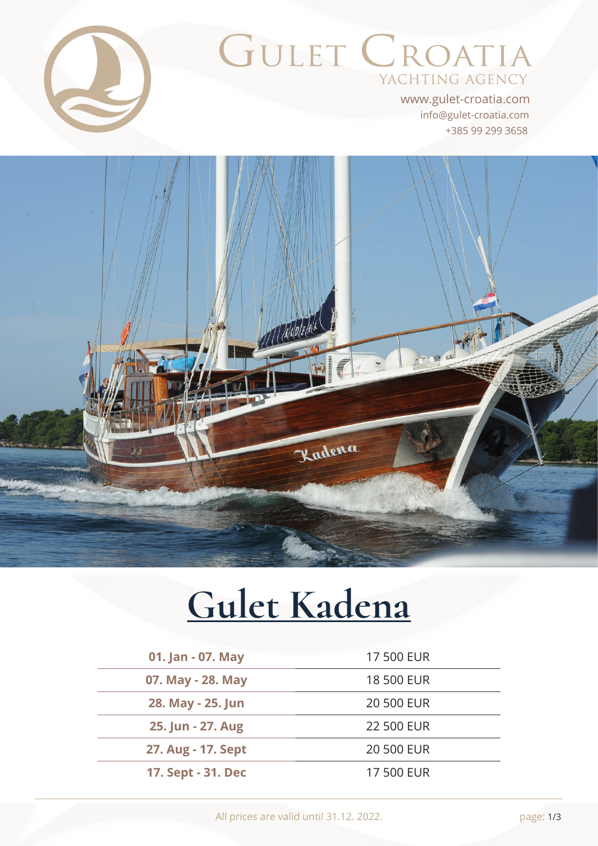

# GULET CROATIA YACHTING AGENCY

+385 99 299 3658 info@gulet-croatia.com www.gulet-croatia.com



# **[Gulet Kadena](https://www.gulet-croatia.com/gulets-cruise-croatia/sy-kadena)**

| 01. Jan - 07. May  | 17 500 EUR        |
|--------------------|-------------------|
| 07. May - 28. May  | <b>18 500 EUR</b> |
| 28. May - 25. Jun  | <b>20 500 EUR</b> |
| 25. Jun - 27. Aug  | <b>22 500 EUR</b> |
| 27. Aug - 17. Sept | <b>20 500 EUR</b> |
| 17. Sept - 31. Dec | 17 500 EUR        |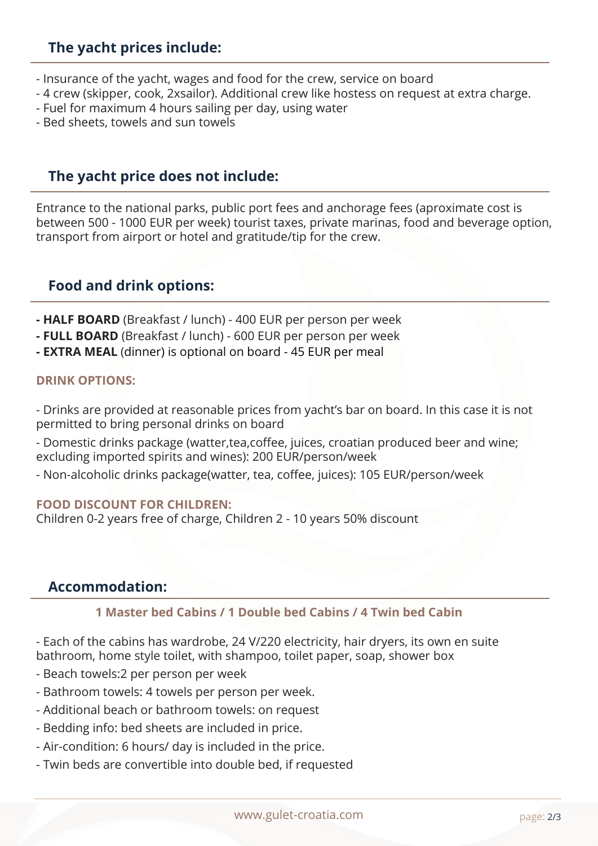# **The yacht prices include:**

- Insurance of the yacht, wages and food for the crew, service on board
- 4 crew (skipper, cook, 2xsailor). Additional crew like hostess on request at extra charge.
- Fuel for maximum 4 hours sailing per day, using water
- Bed sheets, towels and sun towels

# **The yacht price does not include:**

Entrance to the national parks, public port fees and anchorage fees (aproximate cost is between 500 - 1000 EUR per week) tourist taxes, private marinas, food and beverage option, transport from airport or hotel and gratitude/tip for the crew.

# **Food and drink options:**

- **HALF BOARD** (Breakfast / lunch) 400 EUR per person per week
- **FULL BOARD** (Breakfast / lunch) 600 EUR per person per week
- **EXTRA MEAL** (dinner) is optional on board 45 EUR per meal

#### **DRINK OPTIONS:**

- Drinks are provided at reasonable prices from yacht's bar on board. In this case it is not permitted to bring personal drinks on board

- Domestic drinks package (watter,tea,coffee, juices, croatian produced beer and wine; excluding imported spirits and wines): 200 EUR/person/week

- Non-alcoholic drinks package(watter, tea, coffee, juices): 105 EUR/person/week

#### **FOOD DISCOUNT FOR CHILDREN:**

Children 0-2 years free of charge, Children 2 - 10 years 50% discount

#### **Accommodation:**

#### **1 Master bed Cabins / 1 Double bed Cabins / 4 Twin bed Cabin**

- Each of the cabins has wardrobe, 24 V/220 electricity, hair dryers, its own en suite bathroom, home style toilet, with shampoo, toilet paper, soap, shower box

- Beach towels:2 per person per week
- Bathroom towels: 4 towels per person per week.
- Additional beach or bathroom towels: on request
- Bedding info: bed sheets are included in price.
- Air-condition: 6 hours/ day is included in the price.
- Twin beds are convertible into double bed, if requested